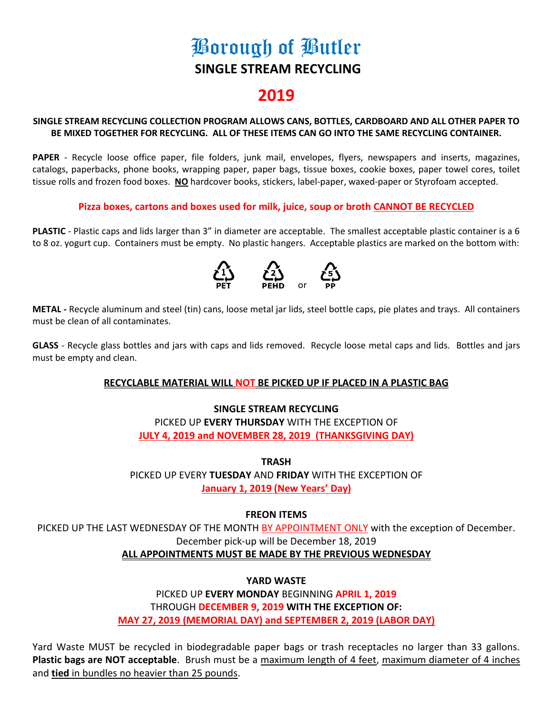# Borough of Butler **SINGLE STREAM RECYCLING**

# **2019**

# **SINGLE STREAM RECYCLING COLLECTION PROGRAM ALLOWS CANS, BOTTLES, CARDBOARD AND ALL OTHER PAPER TO BE MIXED TOGETHER FOR RECYCLING. ALL OF THESE ITEMS CAN GO INTO THE SAME RECYCLING CONTAINER.**

**PAPER** - Recycle loose office paper, file folders, junk mail, envelopes, flyers, newspapers and inserts, magazines, catalogs, paperbacks, phone books, wrapping paper, paper bags, tissue boxes, cookie boxes, paper towel cores, toilet tissue rolls and frozen food boxes. **NO** hardcover books, stickers, label-paper, waxed-paper or Styrofoam accepted.

# **Pizza boxes, cartons and boxes used for milk, juice, soup or broth CANNOT BE RECYCLED**

**PLASTIC** - Plastic caps and lids larger than 3" in diameter are acceptable. The smallest acceptable plastic container is a 6 to 8 oz. yogurt cup. Containers must be empty. No plastic hangers. Acceptable plastics are marked on the bottom with:



**METAL -** Recycle aluminum and steel (tin) cans, loose metal jar lids, steel bottle caps, pie plates and trays. All containers must be clean of all contaminates.

**GLASS** - Recycle glass bottles and jars with caps and lids removed. Recycle loose metal caps and lids. Bottles and jars must be empty and clean.

# **RECYCLABLE MATERIAL WILL NOT BE PICKED UP IF PLACED IN A PLASTIC BAG**

# **SINGLE STREAM RECYCLING** PICKED UP **EVERY THURSDAY** WITH THE EXCEPTION OF **JULY 4, 2019 and NOVEMBER 28, 2019 (THANKSGIVING DAY)**

**TRASH** PICKED UP EVERY **TUESDAY** AND **FRIDAY** WITH THE EXCEPTION OF **January 1, 2019 (New Years' Day)**

# **FREON ITEMS**

PICKED UP THE LAST WEDNESDAY OF THE MONTH BY APPOINTMENT ONLY with the exception of December. December pick-up will be December 18, 2019 **ALL APPOINTMENTS MUST BE MADE BY THE PREVIOUS WEDNESDAY**

# **YARD WASTE**

PICKED UP **EVERY MONDAY** BEGINNING **APRIL 1, 2019** THROUGH **DECEMBER 9, 2019 WITH THE EXCEPTION OF: MAY 27, 2019 (MEMORIAL DAY) and SEPTEMBER 2, 2019 (LABOR DAY)**

Yard Waste MUST be recycled in biodegradable paper bags or trash receptacles no larger than 33 gallons. **Plastic bags are NOT acceptable**. Brush must be a maximum length of 4 feet, maximum diameter of 4 inches and **tied** in bundles no heavier than 25 pounds.